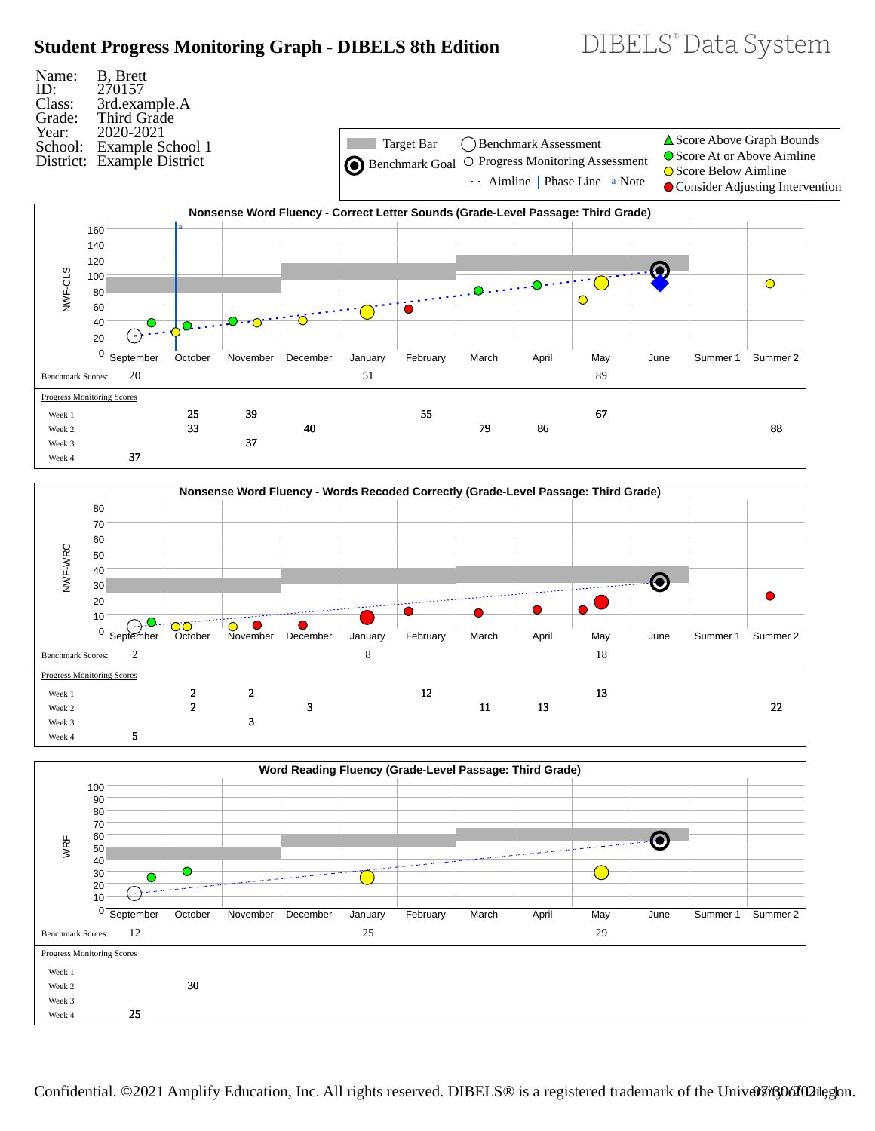# **Student Progress Monitoring Graph - DIBELS 8th Edition**



DIBELS® Data System





Confidential. ©2021 Amplify Education, Inc. All rights reserved. DIBELS® is a registered trademark of the University of Oregon.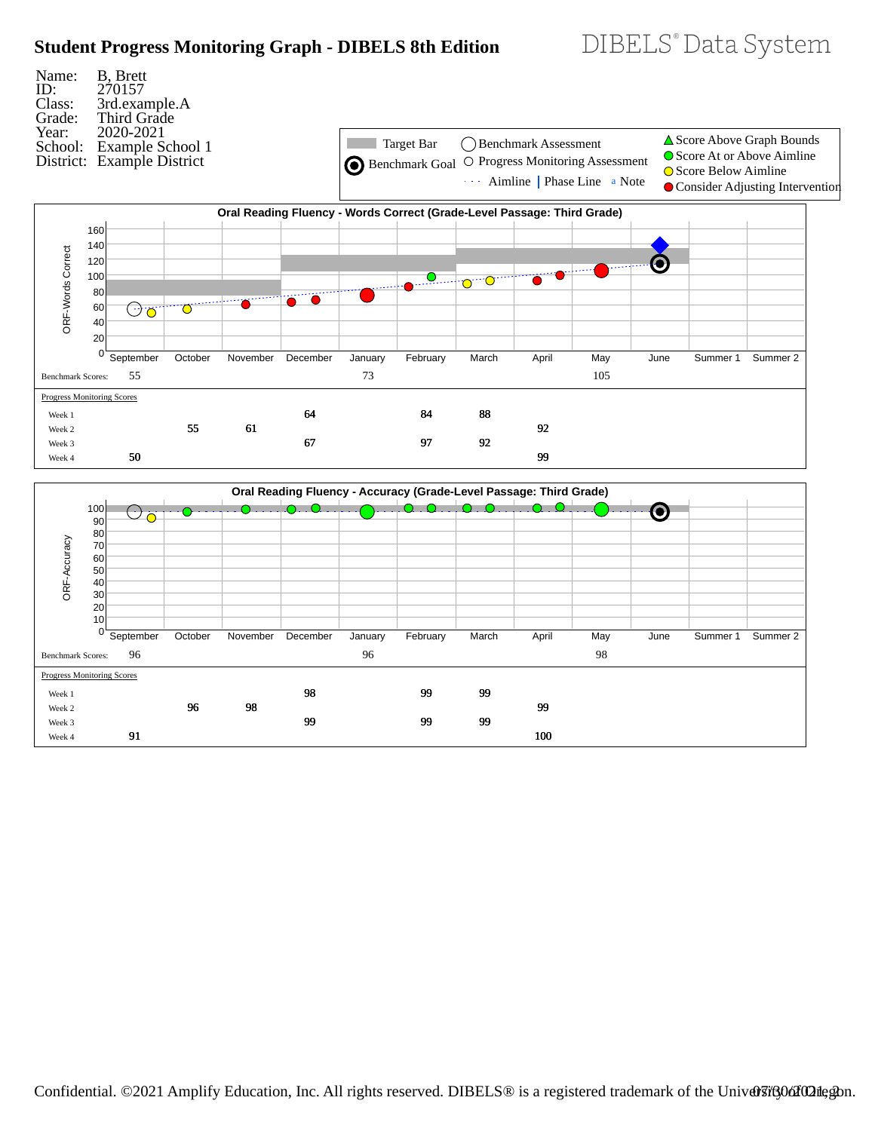# **Student Progress Monitoring Graph - DIBELS 8th Edition**